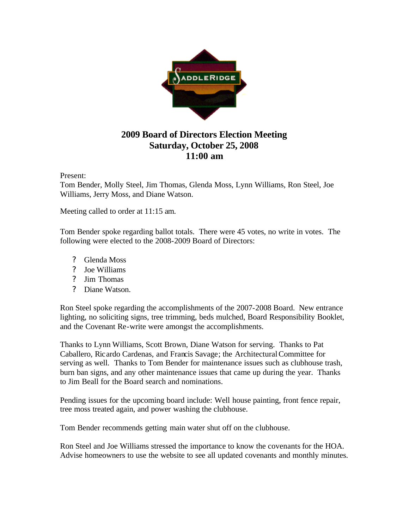

## **2009 Board of Directors Election Meeting Saturday, October 25, 2008 11:00 am**

## Present:

Tom Bender, Molly Steel, Jim Thomas, Glenda Moss, Lynn Williams, Ron Steel, Joe Williams, Jerry Moss, and Diane Watson.

Meeting called to order at 11:15 am.

Tom Bender spoke regarding ballot totals. There were 45 votes, no write in votes. The following were elected to the 2008-2009 Board of Directors:

- ? Glenda Moss
- ? Joe Williams
- ? Jim Thomas
- ? Diane Watson.

Ron Steel spoke regarding the accomplishments of the 2007-2008 Board. New entrance lighting, no soliciting signs, tree trimming, beds mulched, Board Responsibility Booklet, and the Covenant Re-write were amongst the accomplishments.

Thanks to Lynn Williams, Scott Brown, Diane Watson for serving. Thanks to Pat Caballero, Ricardo Cardenas, and Francis Savage; the Architectural Committee for serving as well. Thanks to Tom Bender for maintenance issues such as clubhouse trash, burn ban signs, and any other maintenance issues that came up during the year. Thanks to Jim Beall for the Board search and nominations.

Pending issues for the upcoming board include: Well house painting, front fence repair, tree moss treated again, and power washing the clubhouse.

Tom Bender recommends getting main water shut off on the clubhouse.

Ron Steel and Joe Williams stressed the importance to know the covenants for the HOA. Advise homeowners to use the website to see all updated covenants and monthly minutes.